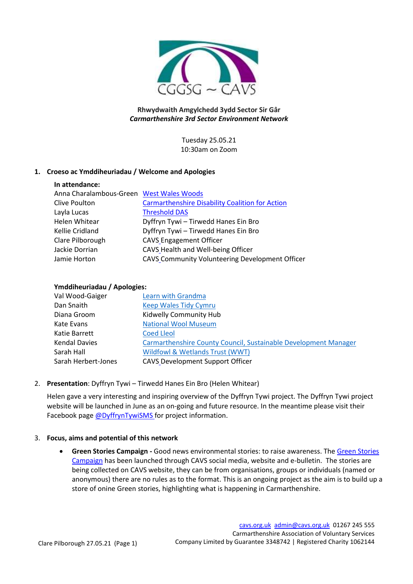

# **Rhwydwaith Amgylchedd 3ydd Sector Sir Gâr** *Carmarthenshire 3rd Sector Environment Network*

Tuesday 25.05.21 10:30am on Zoom

## **1. Croeso ac Ymddiheuriadau / Welcome and Apologies**

# **In attendance:**

| Anna Charalambous-Green West Wales Woods |                                                        |
|------------------------------------------|--------------------------------------------------------|
| Clive Poulton                            | <b>Carmarthenshire Disability Coalition for Action</b> |
| Layla Lucas                              | <b>Threshold DAS</b>                                   |
| Helen Whitear                            | Dyffryn Tywi - Tirwedd Hanes Ein Bro                   |
| Kellie Cridland                          | Dyffryn Tywi - Tirwedd Hanes Ein Bro                   |
| Clare Pilborough                         | <b>CAVS Engagement Officer</b>                         |
| Jackie Dorrian                           | CAVS Health and Well-being Officer                     |
| Jamie Horton                             | CAVS Community Volunteering Development Officer        |
|                                          |                                                        |

## **Ymddiheuriadau / Apologies:**

| Val Wood-Gaiger      | Learn with Grandma                                              |
|----------------------|-----------------------------------------------------------------|
| Dan Snaith           | <b>Keep Wales Tidy Cymru</b>                                    |
| Diana Groom          | Kidwelly Community Hub                                          |
| Kate Evans           | <b>National Wool Museum</b>                                     |
| Katie Barrett        | <b>Coed Lleol</b>                                               |
| <b>Kendal Davies</b> | Carmarthenshire County Council, Sustainable Development Manager |
| Sarah Hall           | Wildfowl & Wetlands Trust (WWT)                                 |
| Sarah Herbert-Jones  | <b>CAVS Development Support Officer</b>                         |

#### 2. **Presentation**: Dyffryn Tywi – Tirwedd Hanes Ein Bro (Helen Whitear)

Helen gave a very interesting and inspiring overview of the Dyffryn Tywi project. The Dyffryn Tywi project website will be launched in June as an on-going and future resource. In the meantime please visit their Facebook page [@DyffrynTywiSMS](https://www.facebook.com/DyffrynTywiSMS) for project information.

#### 3. **Focus, aims and potential of this network**

• **Green Stories Campaign -** Good news environmental stories: to raise awareness. Th[e Green Stories](http://www.cavs.org.uk/green-stories/)  [Campaign](http://www.cavs.org.uk/green-stories/) has been launched through CAVS social media, website and e-bulletin. The stories are being collected on CAVS website, they can be from organisations, groups or individuals (named or anonymous) there are no rules as to the format. This is an ongoing project as the aim is to build up a store of onine Green stories, highlighting what is happening in Carmarthenshire.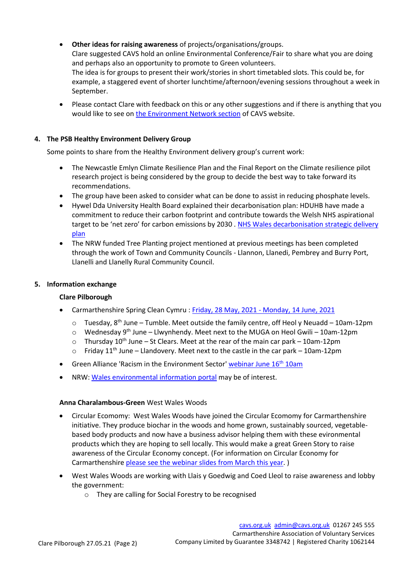- **Other ideas for raising awareness** of projects/organisations/groups. Clare suggested CAVS hold an online Environmental Conference/Fair to share what you are doing and perhaps also an opportunity to promote to Green volunteers. The idea is for groups to present their work/stories in short timetabled slots. This could be, for example, a staggered event of shorter lunchtime/afternoon/evening sessions throughout a week in September.
- Please contact Clare with feedback on this or any other suggestions and if there is anything that you would like to see o[n the Environment Network section](https://cavs.org.uk/engagement/environment-network/) of CAVS website.

## **4. The PSB Healthy Environment Delivery Group**

Some points to share from the Healthy Environment delivery group's current work:

- The Newcastle Emlyn Climate Resilience Plan and the Final Report on the Climate resilience pilot research project is being considered by the group to decide the best way to take forward its recommendations.
- The group have been asked to consider what can be done to assist in reducing phosphate levels.
- Hywel Dda University Health Board explained their decarbonisation plan: HDUHB have made a commitment to reduce their carbon footprint and contribute towards the Welsh NHS aspirational target to be 'net zero' for carbon emissions by 2030 . [NHS Wales decarbonisation strategic delivery](https://gov.wales/nhs-wales-decarbonisation-strategic-delivery-plan)  [plan](https://gov.wales/nhs-wales-decarbonisation-strategic-delivery-plan)
- The NRW funded Tree Planting project mentioned at previous meetings has been completed through the work of Town and Community Councils - Llannon, Llanedi, Pembrey and Burry Port, Llanelli and Llanelly Rural Community Council.

#### **5. Information exchange**

#### **Clare Pilborough**

- Carmarthenshire Spring Clean Cymru : Friday, 28 May, 2021 [Monday, 14 June, 2021](https://tocyn.cymru/en/register_tickets/0c1eace9-ac57-4e36-a701-014c502fe131)
	- $\circ$  Tuesday, 8<sup>th</sup> June Tumble. Meet outside the family centre, off Heol y Neuadd 10am-12pm
	- $\circ$  Wednesday 9<sup>th</sup> June Llwynhendy. Meet next to the MUGA on Heol Gwili 10am-12pm
	- $\circ$  Thursday 10<sup>th</sup> June St Clears. Meet at the rear of the main car park 10am-12pm
	- $\circ$  Friday 11<sup>th</sup> June Llandovery. Meet next to the castle in the car park 10am-12pm
- Green Alliance 'Racism in the Environment Sector' [webinar](https://us02web.zoom.us/webinar/register/WN_0nU5FK0oSP-16zBdDJ0f0Q) June 16<sup>th</sup> 10am
- NRW: [Wales environmental information portal](https://naturalresources.wales/evidence-and-data/accessing-our-data/beta-environmental-data?lang=en) may be of interest.

#### **Anna Charalambous-Green** West Wales Woods

- Circular Ecomomy: West Wales Woods have joined the Circular Ecomomy for Carmarthenshire initiative. They produce biochar in the woods and home grown, sustainably sourced, vegetablebased body products and now have a business advisor helping them with these evironmental products which they are hoping to sell locally. This would make a great Green Story to raise awareness of the Circular Economy concept. (For information on Circular Economy for Carmarthenshir[e please see the webinar slides](https://cavs.org.uk/wp-content/uploads/2021/05/Carmarthenshire-Circular-Economy-Webinar-Slides-10.03.21.pdf) from March this year. )
- West Wales Woods are working with Llais y Goedwig and Coed Lleol to raise awareness and lobby the government:
	- o They are calling for Social Forestry to be recognised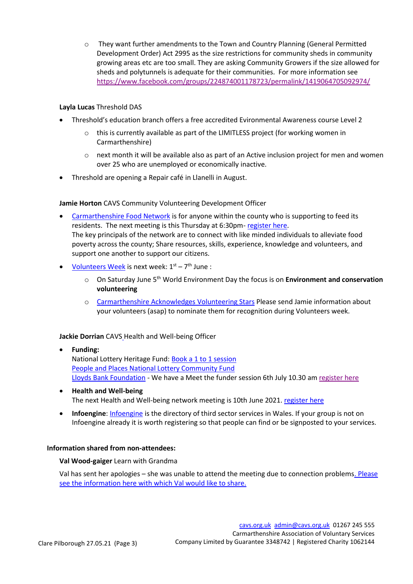o They want further amendments to the Town and Country Planning (General Permitted Development Order) Act 2995 as the size restrictions for community sheds in community growing areas etc are too small. They are asking Community Growers if the size allowed for sheds and polytunnels is adequate for their communities. For more information see <https://www.facebook.com/groups/224874001178723/permalink/1419064705092974/>

## **Layla Lucas** Threshold DAS

- Threshold's education branch offers a free accredited Evironmental Awareness course Level 2
	- o this is currently available as part of the LIMITLESS project (for working women in Carmarthenshire)
	- o next month it will be available also as part of an Active inclusion project for men and women over 25 who are unemployed or economically inactive.
- Threshold are opening a Repair café in Llanelli in August.

## **Jamie Horton** CAVS Community Volunteering Development Officer

- [Carmarthenshire Food Network](https://cavs.org.uk/engagement/carmarthenshire-food-network/) is for anyone within the county who is supporting to feed its residents. The next meeting is this Thursday at 6:30pm- [register here.](https://www.eventbrite.co.uk/e/154466354023) The key principals of the network are to connect with like minded individuals to alleviate food poverty across the county; Share resources, skills, experience, knowledge and volunteers, and support one another to support our citizens.
- [Volunteers Week](https://cavs.org.uk/volunteering/celebrating-volunteering/volunteers-week/) is next week:  $1<sup>st</sup> 7<sup>th</sup>$  June :
	- o On Saturday June 5th World Environment Day the focus is on **Environment and conservation volunteering**
	- o [Carmarthenshire Acknowledges Volunteering Stars](https://cavs.org.uk/2021/04/carmarthenshire-acknowledges-volunteering-stars/) Please send Jamie information about your volunteers (asap) to nominate them for recognition during Volunteers week.

#### **Jackie Dorrian** CAVS Health and Well-being Officer

- **Funding:** National Lottery Heritage Fund: Book a [1 to 1 session](https://cavs.org.uk/wp-content/uploads/2021/05/flyer-sesiynau-cyngor-ariannu-1-to-1.pdf) [People and Places National Lottery Community Fund](https://www.tnlcommunityfund.org.uk/funding/programmes?min=10000&location=wales) Lloyds Bank [Foundation](https://www.lloydsbankfoundation.org.uk/we-fund) - We have a Meet the funder session 6th July 10.30 am [register here](https://www.eventbrite.co.uk/e/cwrdd-ar-cyllidwr-meet-the-funder-lloyds-bank-foundation-west-wales-tickets-156755922183)
- **Health and Well-being** The next Health and Well-being network meeting is 10th June 2021. [register here](https://www.eventbrite.co.uk/e/carms-health-well-being-network-rhwydwaith-iechyd-a-lles-sir-gar-tickets-146795191369)
- **Infoengine**: [Infoengine](https://en.infoengine.cymru/) is the directory of third sector services in Wales. If your group is not on Infoengine already it is worth registering so that people can find or be signposted to your services.

#### **Information shared from non-attendees:**

#### **Val Wood-gaiger** Learn with Grandma

Val has sent her apologies – she was unable to attend the meeting due to connection problems. [Please](https://cavs.org.uk/wp-content/uploads/2021/05/Learn-with-Grandma-Update-25.05.21.pdf)  see the information here with which Val [would like to share.](https://cavs.org.uk/wp-content/uploads/2021/05/Learn-with-Grandma-Update-25.05.21.pdf)